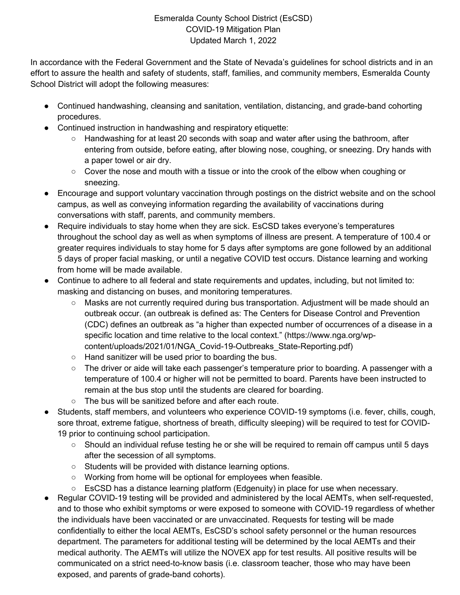## Esmeralda County School District (EsCSD) COVID-19 Mitigation Plan Updated March 1, 2022

In accordance with the Federal Government and the State of Nevada's guidelines for school districts and in an effort to assure the health and safety of students, staff, families, and community members, Esmeralda County School District will adopt the following measures:

- Continued handwashing, cleansing and sanitation, ventilation, distancing, and grade-band cohorting procedures.
- Continued instruction in handwashing and respiratory etiquette:
	- Handwashing for at least 20 seconds with soap and water after using the bathroom, after entering from outside, before eating, after blowing nose, coughing, or sneezing. Dry hands with a paper towel or air dry.
	- $\circ$  Cover the nose and mouth with a tissue or into the crook of the elbow when coughing or sneezing.
- Encourage and support voluntary vaccination through postings on the district website and on the school campus, as well as conveying information regarding the availability of vaccinations during conversations with staff, parents, and community members.
- Require individuals to stay home when they are sick. EsCSD takes everyone's temperatures throughout the school day as well as when symptoms of illness are present. A temperature of 100.4 or greater requires individuals to stay home for 5 days after symptoms are gone followed by an additional 5 days of proper facial masking, or until a negative COVID test occurs. Distance learning and working from home will be made available.
- Continue to adhere to all federal and state requirements and updates, including, but not limited to: masking and distancing on buses, and monitoring temperatures.
	- Masks are not currently required during bus transportation. Adjustment will be made should an outbreak occur. (an outbreak is defined as: The Centers for Disease Control and Prevention (CDC) defines an outbreak as "a higher than expected number of occurrences of a disease in a specific location and time relative to the local context." (https://www.nga.org/wpcontent/uploads/2021/01/NGA\_Covid-19-Outbreaks\_State-Reporting.pdf)
	- Hand sanitizer will be used prior to boarding the bus.
	- The driver or aide will take each passenger's temperature prior to boarding. A passenger with a temperature of 100.4 or higher will not be permitted to board. Parents have been instructed to remain at the bus stop until the students are cleared for boarding.
	- The bus will be sanitized before and after each route.
- Students, staff members, and volunteers who experience COVID-19 symptoms (i.e. fever, chills, cough, sore throat, extreme fatigue, shortness of breath, difficulty sleeping) will be required to test for COVID-19 prior to continuing school participation.
	- Should an individual refuse testing he or she will be required to remain off campus until 5 days after the secession of all symptoms.
	- Students will be provided with distance learning options.
	- Working from home will be optional for employees when feasible.
	- EsCSD has a distance learning platform (Edgenuity) in place for use when necessary.
- Regular COVID-19 testing will be provided and administered by the local AEMTs, when self-requested, and to those who exhibit symptoms or were exposed to someone with COVID-19 regardless of whether the individuals have been vaccinated or are unvaccinated. Requests for testing will be made confidentially to either the local AEMTs, EsCSD's school safety personnel or the human resources department. The parameters for additional testing will be determined by the local AEMTs and their medical authority. The AEMTs will utilize the NOVEX app for test results. All positive results will be communicated on a strict need-to-know basis (i.e. classroom teacher, those who may have been exposed, and parents of grade-band cohorts).